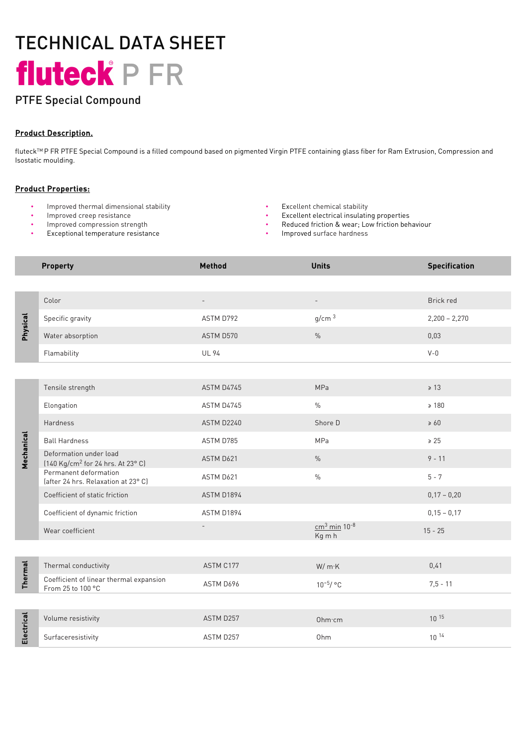# TECHNICAL DATA SHEET fluteck<sup>e</sup> P FR

# PTFE Special Compound

## Product Description.

fluteck<sup>TM</sup> P FR PTFE Special Compound is a filled compound based on pigmented Virgin PTFE containing glass fiber for Ram Extrusion, Compression and Isostatic moulding.

### Product Properties:

- Improved thermal dimensional stability Excellent chemical stability
- 
- Improved compression strength
- Exceptional temperature resistance
- 
- Improved creep resistance Excellent electrical insulating properties
	- Reduced friction & wear; Low friction behaviour
	- Improved surface hardness

|                | <b>Property</b>                                                         | Method            | <b>Units</b>                         | <b>Specification</b> |
|----------------|-------------------------------------------------------------------------|-------------------|--------------------------------------|----------------------|
|                |                                                                         |                   |                                      |                      |
| Physical       | Color                                                                   | $\qquad \qquad -$ | $\overline{\phantom{a}}$             | Brick red            |
|                | Specific gravity                                                        | ASTM D792         | g/cm <sup>3</sup>                    | $2,200 - 2,270$      |
|                | Water absorption                                                        | ASTM D570         | $\frac{0}{0}$                        | 0,03                 |
|                | Flamability                                                             | <b>UL 94</b>      |                                      | $V - 0$              |
|                |                                                                         |                   |                                      |                      |
| Mechanical     | Tensile strength                                                        | ASTM D4745        | MPa                                  | $\geq 13$            |
|                | Elongation                                                              | ASTM D4745        | $\%$                                 | $\geq 180$           |
|                | Hardness                                                                | ASTM D2240        | Shore D                              | $\geq 60$            |
|                | <b>Ball Hardness</b>                                                    | ASTM D785         | MPa                                  | $\ge 25$             |
|                | Deformation under load<br>[140 Kg/cm <sup>2</sup> for 24 hrs. At 23° C] | ASTM D621         | $\%$                                 | $9 - 11$             |
|                | Permanent deformation<br>(after 24 hrs. Relaxation at 23°C)             | ASTM D621         | $\%$                                 | $5 - 7$              |
|                | Coefficient of static friction                                          | ASTM D1894        |                                      | $0,17 - 0,20$        |
|                | Coefficient of dynamic friction                                         | ASTM D1894        |                                      | $0,15 - 0,17$        |
|                | Wear coefficient                                                        | $\overline{a}$    | $cm3$ min 10 <sup>-8</sup><br>Kg m h | $15 - 25$            |
|                |                                                                         |                   |                                      |                      |
| <b>Thermal</b> | Thermal conductivity                                                    | ASTM C177         | W/mK                                 | 0,41                 |
|                | Coefficient of linear thermal expansion<br>From 25 to 100 °C            | ASTM D696         | $10^{-5}/$ °C                        | $7,5 - 11$           |
|                |                                                                         |                   |                                      |                      |
| Electrical     | Volume resistivity                                                      | ASTM D257         | Ohm·cm                               | $10^{15}$            |
|                | Surfaceresistivity                                                      | ASTM D257         | Ohm                                  | $10^{14}$            |
|                |                                                                         |                   |                                      |                      |
|                |                                                                         |                   |                                      |                      |
|                |                                                                         |                   |                                      |                      |
|                |                                                                         |                   |                                      |                      |